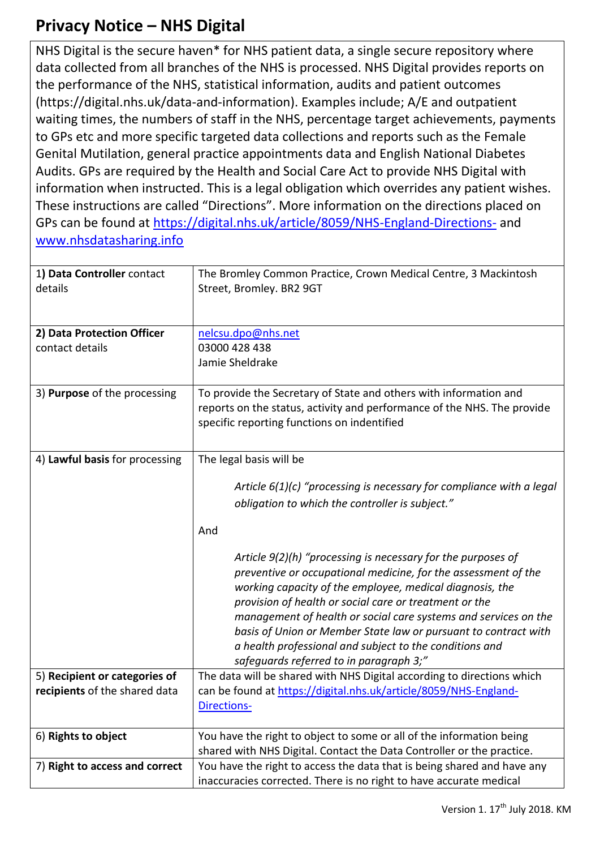## **Privacy Notice – NHS Digital**

NHS Digital is the secure haven\* for NHS patient data, a single secure repository where data collected from all branches of the NHS is processed. NHS Digital provides reports on the performance of the NHS, statistical information, audits and patient outcomes (https://digital.nhs.uk/data-and-information). Examples include; A/E and outpatient waiting times, the numbers of staff in the NHS, percentage target achievements, payments to GPs etc and more specific targeted data collections and reports such as the Female Genital Mutilation, general practice appointments data and English National Diabetes Audits. GPs are required by the Health and Social Care Act to provide NHS Digital with information when instructed. This is a legal obligation which overrides any patient wishes. These instructions are called "Directions". More information on the directions placed on GPs can be found at <https://digital.nhs.uk/article/8059/NHS-England-Directions-> and [www.nhsdatasharing.info](http://www.nhsdatasharing.info/)

| 1) Data Controller contact<br>details                          | The Bromley Common Practice, Crown Medical Centre, 3 Mackintosh<br>Street, Bromley. BR2 9GT                                                                                                                                                                                                                                                                                                                                                                                                                                                                                                                                                                     |
|----------------------------------------------------------------|-----------------------------------------------------------------------------------------------------------------------------------------------------------------------------------------------------------------------------------------------------------------------------------------------------------------------------------------------------------------------------------------------------------------------------------------------------------------------------------------------------------------------------------------------------------------------------------------------------------------------------------------------------------------|
| 2) Data Protection Officer<br>contact details                  | nelcsu.dpo@nhs.net<br>03000 428 438<br>Jamie Sheldrake                                                                                                                                                                                                                                                                                                                                                                                                                                                                                                                                                                                                          |
| 3) Purpose of the processing                                   | To provide the Secretary of State and others with information and<br>reports on the status, activity and performance of the NHS. The provide<br>specific reporting functions on indentified                                                                                                                                                                                                                                                                                                                                                                                                                                                                     |
| 4) Lawful basis for processing                                 | The legal basis will be<br>Article $6(1)(c)$ "processing is necessary for compliance with a legal<br>obligation to which the controller is subject."<br>And<br>Article 9(2)(h) "processing is necessary for the purposes of<br>preventive or occupational medicine, for the assessment of the<br>working capacity of the employee, medical diagnosis, the<br>provision of health or social care or treatment or the<br>management of health or social care systems and services on the<br>basis of Union or Member State law or pursuant to contract with<br>a health professional and subject to the conditions and<br>safeguards referred to in paragraph 3;" |
| 5) Recipient or categories of<br>recipients of the shared data | The data will be shared with NHS Digital according to directions which<br>can be found at https://digital.nhs.uk/article/8059/NHS-England-<br>Directions-                                                                                                                                                                                                                                                                                                                                                                                                                                                                                                       |
| 6) Rights to object                                            | You have the right to object to some or all of the information being<br>shared with NHS Digital. Contact the Data Controller or the practice.                                                                                                                                                                                                                                                                                                                                                                                                                                                                                                                   |
| 7) Right to access and correct                                 | You have the right to access the data that is being shared and have any<br>inaccuracies corrected. There is no right to have accurate medical                                                                                                                                                                                                                                                                                                                                                                                                                                                                                                                   |